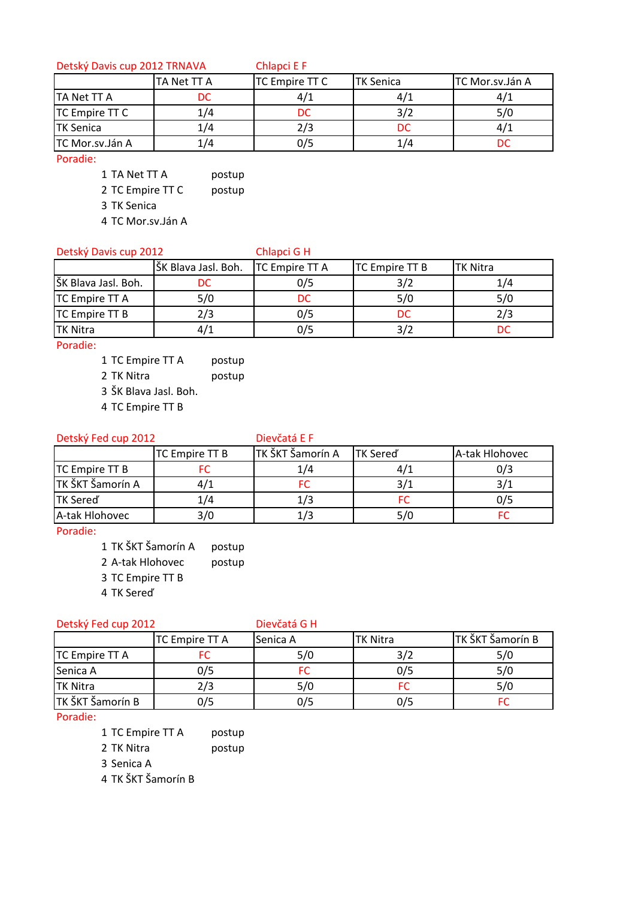Detský Davis cup 2012 TRNAVA Chlapci E F

|                       | TA Net TT A | <b>TC Empire TT C</b> | <b>TK Senica</b> | TC Mor.sv.Ján A |
|-----------------------|-------------|-----------------------|------------------|-----------------|
| <b>TA Net TT A</b>    | DC          |                       | 47.              |                 |
| <b>TC Empire TT C</b> |             | DC                    | 3/2              |                 |
| <b>TK Senica</b>      | 1/4         | 2/3                   | DC               |                 |
| TC Mor.sv.Ján A       |             | כ/כ                   |                  |                 |

Poradie:

1 TA Net TT A postup

2 TC Empire TT C postup

3 TK Senica

4 TC Mor.sv.Ján A

# Detský Davis cup 2012 Chlapci G H

|                       | ŠK Blava Jasl. Boh.   TC Empire TT A |     | TC Empire TT B | <b>TK Nitra</b> |
|-----------------------|--------------------------------------|-----|----------------|-----------------|
| ŠK Blava Jasl. Boh.   | DC                                   | 0/5 |                | 1/4             |
| <b>TC Empire TT A</b> | 5/0                                  | DC  | 5/0            | 5/0             |
| <b>TC Empire TT B</b> | 2/3                                  | 0/5 | DC             | 2/3             |
| <b>TK Nitra</b>       | 4/1                                  | 0/5 |                |                 |

Poradie:

1 TC Empire TT A postup

2 TK Nitra **postup** 

3 ŠK Blava Jasl. Boh.

4 TC Empire TT B

# Detský Fed cup 2012 Dievčatá E F

|                  | TC Empire TT B | TK ŠKT Šamorín A | <b>TK Sered</b> | A-tak Hlohovec |
|------------------|----------------|------------------|-----------------|----------------|
| TC Empire TT B   |                | 14.              | 4/1             | 0/3            |
| TK ŠKT Šamorín A | 4/1            |                  | 3/1             |                |
| <b>TK Sered</b>  | 1/4            |                  |                 | 0/5            |
| A-tak Hlohovec   | 3/0            | ./3              | 5/0             |                |

Poradie:

1 TK ŠKT Šamorín A postup

2 A-tak Hlohovec postup

3 TC Empire TT B

4 TK Sereď

## Detský Fed cup 2012 Dievčatá G H

|                       | <b>TC Empire TT A</b> | Senica A | <b>TK Nitra</b> | TK ŠKT Šamorín B |
|-----------------------|-----------------------|----------|-----------------|------------------|
| <b>TC Empire TT A</b> |                       | 5/0      |                 | 5/0              |
| Senica A              | 0/5                   |          | 0/5             | 5/0              |
| <b>TK Nitra</b>       | 2/3                   | 5/0      |                 | 5/0              |
| TK ŠKT Šamorín B      | 0/5                   | 0/5      | 0/5             |                  |

Poradie:

1 TC Empire TT A postup

2 TK Nitra **postup** 

3 Senica A

4 TK ŠKT Šamorín B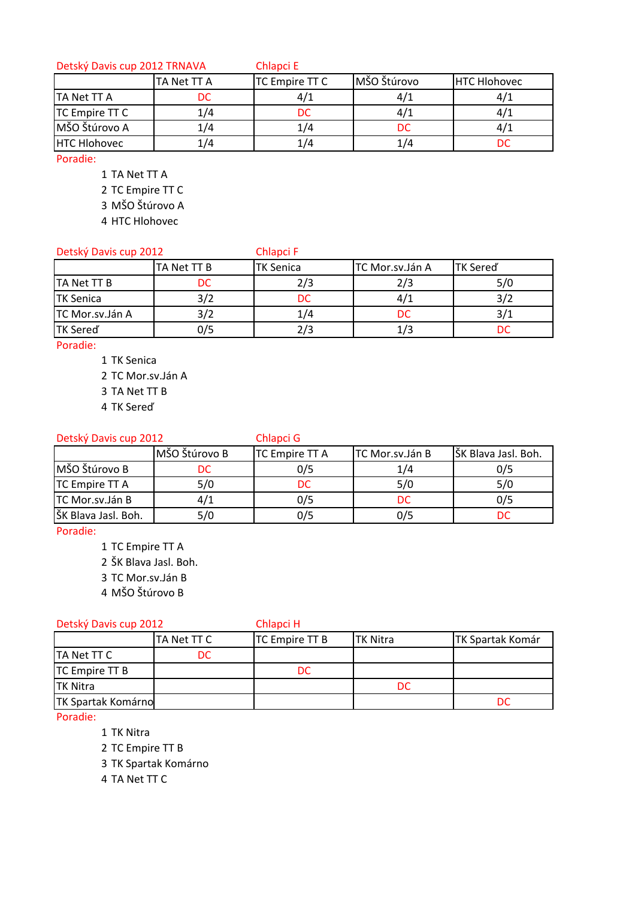## Detský Davis cup 2012 TRNAVA Chlapci E

|                     | TA Net TT A | TC Empire TT C | MŠO Štúrovo | <b>HTC Hlohovec</b> |
|---------------------|-------------|----------------|-------------|---------------------|
| <b>TA Net TT A</b>  | DC          |                | 47.         |                     |
| TC Empire TT C      | L/4         | nr             |             |                     |
| MŠO Štúrovo A       | 1/4         | 1/4            | DC          |                     |
| <b>HTC Hlohovec</b> |             | 74             | 174         |                     |

Poradie:

- 1 TA Net TT A
- 2 TC Empire TT C
- 3 MŠO Štúrovo A
- 4 HTC Hlohovec

## Detský Davis cup 2012 Chlapci F

|                  | <b>TA Net TT B</b> | <b>TK Senica</b> | TC Mor.sv.Ján A | <b>TK Sered</b> |
|------------------|--------------------|------------------|-----------------|-----------------|
| TA Net TT B      | DC                 | 2/3.             | 2/3             | 5/0             |
| <b>TK Senica</b> |                    |                  | 4/1             |                 |
| TC Mor.sv.Ján A  |                    | L/4              | DC              |                 |
| <b>TK Sered</b>  | 0/5                | 2/3              |                 |                 |

Poradie:

- 1 TK Senica
- 2 TC Mor.sv.Ján A
- 3 TA Net TT B
- 4 TK Sereď

# Detský Davis cup 2012 Chlapci G

|                     | MŠO Štúrovo B | <b>TC Empire TT A</b> | TC Mor.sv.Ján B | ŠK Blava Jasl. Boh. |
|---------------------|---------------|-----------------------|-----------------|---------------------|
| MŠO Štúrovo B       | DC            | 0/5                   | 1/4             | 0/5                 |
| TC Empire TT A      | 5/0           |                       | 5/0             | 5/0                 |
| TC Mor.sv.Ján B     | 4/1           | 0/5                   | DC              | 0/5                 |
| ŠK Blava Jasl. Boh. | 5/0           | 0/5                   | 0/5             |                     |

Poradie:

- 1 TC Empire TT A
- 2 ŠK Blava Jasl. Boh.
- 3 TC Mor.sv.Ján B
- 4 MŠO Štúrovo B

## Detský Davis cup 2012 Chlapci H

|                           | TA Net TT C | <b>TC</b> Empire TT B | <b>TK Nitra</b> | <b>TK Spartak Komár</b> |  |
|---------------------------|-------------|-----------------------|-----------------|-------------------------|--|
| TA Net TT C               | DC          |                       |                 |                         |  |
| <b>TC Empire TT B</b>     |             | DC.                   |                 |                         |  |
| <b>TK Nitra</b>           |             |                       | DC              |                         |  |
| <b>TK Spartak Komárno</b> |             |                       |                 |                         |  |

Poradie:

- 1 TK Nitra
- 2 TC Empire TT B
- 3 TK Spartak Komárno

4 TA Net TT C